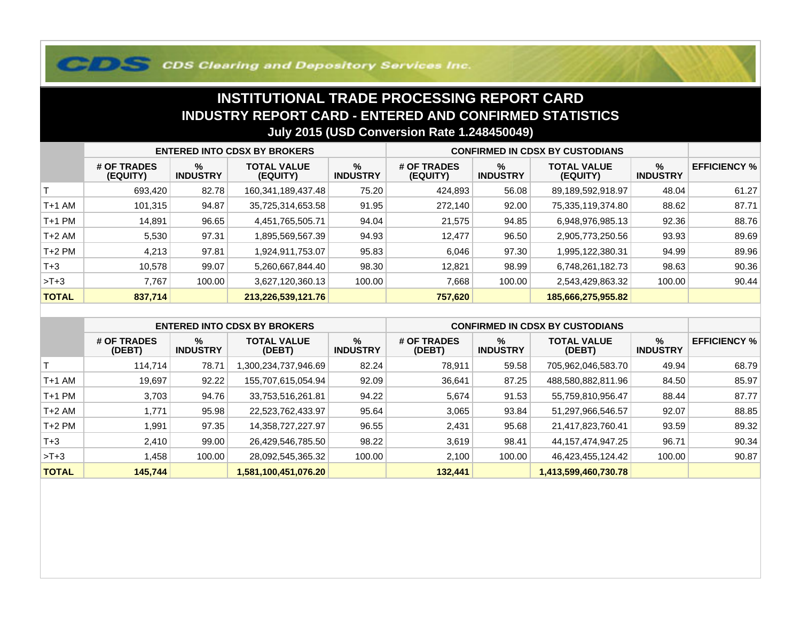## **COS Clearing and Depository Services Inc.**

## **INSTITUTIONAL TRADE PROCESSING REPORT CARD INDUSTRY REPORT CARD - ENTERED AND CONFIRMED STATISTICSJuly 2015 (USD Conversion Rate 1.248450049)**

|              | <b>ENTERED INTO CDSX BY BROKERS</b> |                         |                                |                         | <b>CONFIRMED IN CDSX BY CUSTODIANS</b> |                         |                                |                      |                     |
|--------------|-------------------------------------|-------------------------|--------------------------------|-------------------------|----------------------------------------|-------------------------|--------------------------------|----------------------|---------------------|
|              | # OF TRADES<br>(EQUITY)             | $\%$<br><b>INDUSTRY</b> | <b>TOTAL VALUE</b><br>(EQUITY) | $\%$<br><b>INDUSTRY</b> | # OF TRADES<br>(EQUITY)                | $\%$<br><b>INDUSTRY</b> | <b>TOTAL VALUE</b><br>(EQUITY) | %<br><b>INDUSTRY</b> | <b>EFFICIENCY %</b> |
|              | 693,420                             | 82.78                   | 160,341,189,437.48             | 75.20                   | 424,893                                | 56.08                   | 89,189,592,918.97              | 48.04                | 61.27               |
| T+1 AM       | 101,315                             | 94.87                   | 35,725,314,653.58              | 91.95                   | 272.140                                | 92.00                   | 75,335,119,374.80              | 88.62                | 87.71               |
| T+1 PM       | 14,891                              | 96.65                   | 4,451,765,505.71               | 94.04                   | 21,575                                 | 94.85                   | 6,948,976,985.13               | 92.36                | 88.76               |
| T+2 AM       | 5,530                               | 97.31                   | 895,569,567.39                 | 94.93                   | 12,477                                 | 96.50                   | 2,905,773,250.56               | 93.93                | 89.69               |
| $T+2$ PM     | 4,213                               | 97.81                   | 1,924,911,753.07               | 95.83                   | 6,046                                  | 97.30                   | 1,995,122,380.31               | 94.99                | 89.96               |
| $T + 3$      | 10,578                              | 99.07                   | 5,260,667,844.40               | 98.30                   | 12,821                                 | 98.99                   | 6.748.261.182.73               | 98.63                | 90.36               |
| $>T+3$       | 7,767                               | 100.00                  | 3,627,120,360.13               | 100.00                  | 7,668                                  | 100.00                  | 2,543,429,863.32               | 100.00               | 90.44               |
| <b>TOTAL</b> | 837,714                             |                         | 213,226,539,121.76             |                         | 757,620                                |                         | 185,666,275,955.82             |                      |                     |

|              | <b>ENTERED INTO CDSX BY BROKERS</b> |                         |                              |                         | <b>CONFIRMED IN CDSX BY CUSTODIANS</b> |                         |                              |                         |                     |
|--------------|-------------------------------------|-------------------------|------------------------------|-------------------------|----------------------------------------|-------------------------|------------------------------|-------------------------|---------------------|
|              | # OF TRADES<br>(DEBT)               | $\%$<br><b>INDUSTRY</b> | <b>TOTAL VALUE</b><br>(DEBT) | $\%$<br><b>INDUSTRY</b> | # OF TRADES<br>(DEBT)                  | $\%$<br><b>INDUSTRY</b> | <b>TOTAL VALUE</b><br>(DEBT) | $\%$<br><b>INDUSTRY</b> | <b>EFFICIENCY %</b> |
|              | 114.714                             | 78.71                   | ,300,234,737,946.69          | 82.24                   | 78,911                                 | 59.58                   | 705,962,046,583.70           | 49.94                   | 68.79               |
| $T+1$ AM     | 19.697                              | 92.22                   | 155,707,615,054.94           | 92.09                   | 36,641                                 | 87.25                   | 488,580,882,811.96           | 84.50                   | 85.97               |
| $T+1$ PM     | 3,703                               | 94.76                   | 33,753,516,261.81            | 94.22                   | 5,674                                  | 91.53                   | 55,759,810,956.47            | 88.44                   | 87.77               |
| $T+2$ AM     | .771                                | 95.98                   | 22,523,762,433.97            | 95.64                   | 3,065                                  | 93.84                   | 51,297,966,546.57            | 92.07                   | 88.85               |
| $T+2$ PM     | 1,991                               | 97.35                   | 14,358,727,227.97            | 96.55                   | 2,431                                  | 95.68                   | 21,417,823,760.41            | 93.59                   | 89.32               |
| $T+3$        | 2.410                               | 99.00                   | 26,429,546,785.50            | 98.22                   | 3,619                                  | 98.41                   | 44, 157, 474, 947. 25        | 96.71                   | 90.34               |
| $>T+3$       | .458                                | 100.00                  | 28,092,545,365.32            | 100.00                  | 2,100                                  | 100.00                  | 46,423,455,124.42            | 100.00                  | 90.87               |
| <b>TOTAL</b> | 145.744                             |                         | 1,581,100,451,076.20         |                         | 132,441                                |                         | 1,413,599,460,730.78         |                         |                     |